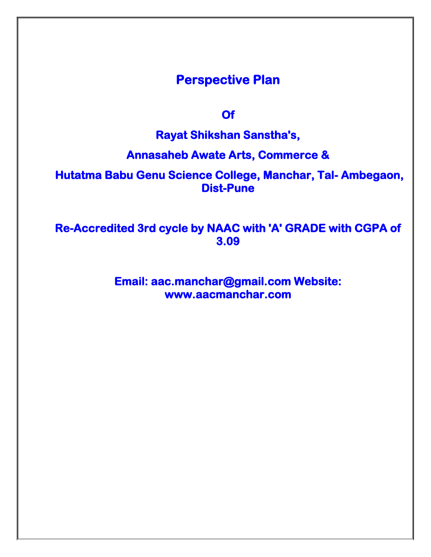## **Perspective Plan**

**Of** 

**Rayat Shikshan Sanstha's,** 

**Annasaheb Awate Arts, Commerce &** 

 **Hutatma Babu Genu Science College, Manchar, Tal- Ambegaon, Dist-Pune** 

**Re-Accredited 3rd cycle by NAAC with 'A' GRADE with CGPA of 3.09** 

> **Email: aac.manchar@gmail.com Website: www.aacmanchar.com**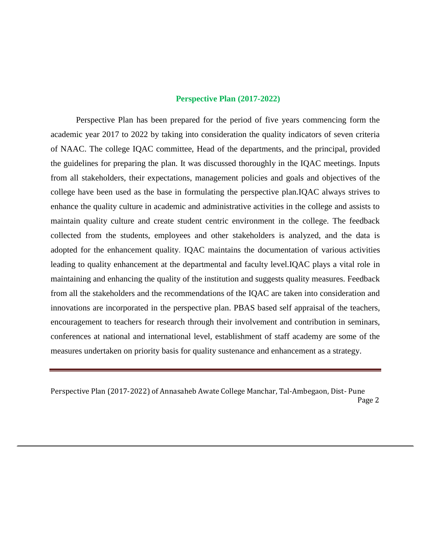#### **Perspective Plan (2017-2022)**

Perspective Plan has been prepared for the period of five years commencing form the academic year 2017 to 2022 by taking into consideration the quality indicators of seven criteria of NAAC. The college IQAC committee, Head of the departments, and the principal, provided the guidelines for preparing the plan. It was discussed thoroughly in the IQAC meetings. Inputs from all stakeholders, their expectations, management policies and goals and objectives of the college have been used as the base in formulating the perspective plan.IQAC always strives to enhance the quality culture in academic and administrative activities in the college and assists to maintain quality culture and create student centric environment in the college. The feedback collected from the students, employees and other stakeholders is analyzed, and the data is adopted for the enhancement quality. IQAC maintains the documentation of various activities leading to quality enhancement at the departmental and faculty level.IQAC plays a vital role in maintaining and enhancing the quality of the institution and suggests quality measures. Feedback from all the stakeholders and the recommendations of the IQAC are taken into consideration and innovations are incorporated in the perspective plan. PBAS based self appraisal of the teachers, encouragement to teachers for research through their involvement and contribution in seminars, conferences at national and international level, establishment of staff academy are some of the measures undertaken on priority basis for quality sustenance and enhancement as a strategy.

Perspective Plan (2017-2022) of Annasaheb Awate College Manchar, Tal-Ambegaon, Dist- Pune Page 2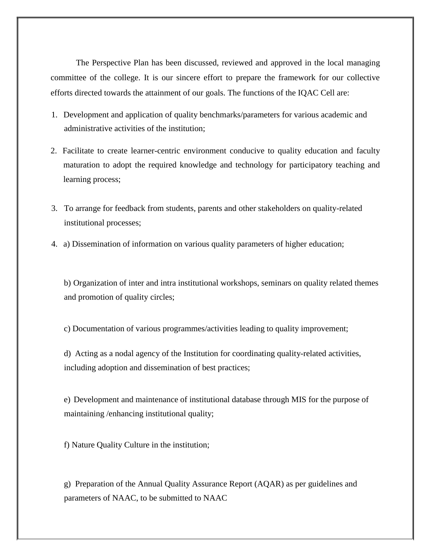The Perspective Plan has been discussed, reviewed and approved in the local managing committee of the college. It is our sincere effort to prepare the framework for our collective efforts directed towards the attainment of our goals. The functions of the IQAC Cell are:

- 1. Development and application of quality benchmarks/parameters for various academic and administrative activities of the institution;
- 2. Facilitate to create learner-centric environment conducive to quality education and faculty maturation to adopt the required knowledge and technology for participatory teaching and learning process;
- 3. To arrange for feedback from students, parents and other stakeholders on quality-related institutional processes;
- 4. a) Dissemination of information on various quality parameters of higher education;

b) Organization of inter and intra institutional workshops, seminars on quality related themes and promotion of quality circles;

c) Documentation of various programmes/activities leading to quality improvement;

d) Acting as a nodal agency of the Institution for coordinating quality-related activities, including adoption and dissemination of best practices;

e) Development and maintenance of institutional database through MIS for the purpose of maintaining /enhancing institutional quality;

f) Nature Quality Culture in the institution;

g) Preparation of the Annual Quality Assurance Report (AQAR) as per guidelines and parameters of NAAC, to be submitted to NAAC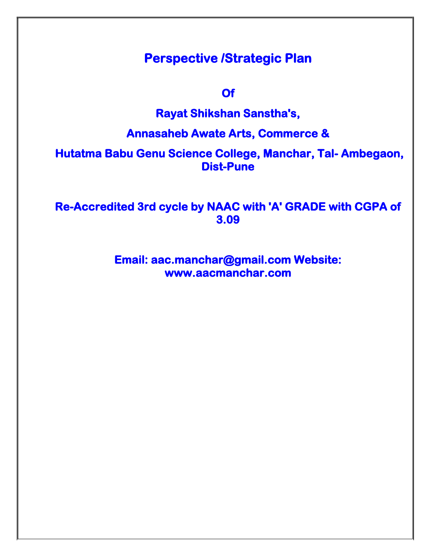# **Perspective /Strategic Plan**

**Of** 

## **Rayat Shikshan Sanstha's,**

## **Annasaheb Awate Arts, Commerce &**

 **Hutatma Babu Genu Science College, Manchar, Tal- Ambegaon, Dist-Pune** 

**Re-Accredited 3rd cycle by NAAC with 'A' GRADE with CGPA of 3.09** 

> **Email: aac.manchar@gmail.com Website: www.aacmanchar.com**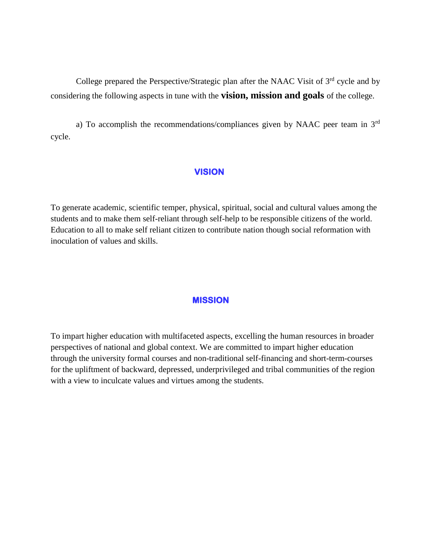College prepared the Perspective/Strategic plan after the NAAC Visit of 3<sup>rd</sup> cycle and by considering the following aspects in tune with the **vision, mission and goals** of the college.

a) To accomplish the recommendations/compliances given by NAAC peer team in 3rd cycle.

#### **VISION**

To generate academic, scientific temper, physical, spiritual, social and cultural values among the students and to make them self-reliant through self-help to be responsible citizens of the world. Education to all to make self reliant citizen to contribute nation though social reformation with inoculation of values and skills.

#### **MISSION**

To impart higher education with multifaceted aspects, excelling the human resources in broader perspectives of national and global context. We are committed to impart higher education through the university formal courses and non-traditional self-financing and short-term-courses for the upliftment of backward, depressed, underprivileged and tribal communities of the region with a view to inculcate values and virtues among the students.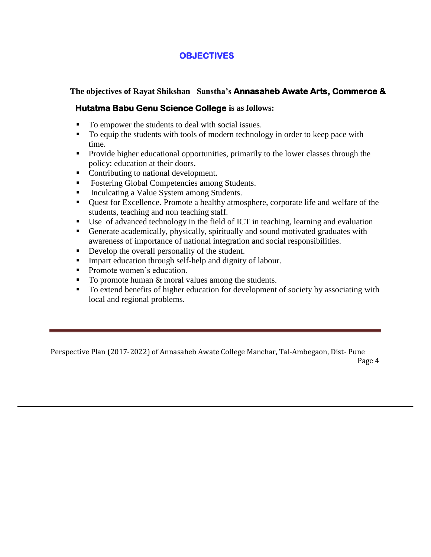### **OBJECTIVES**

**The objectives of Rayat Shikshan Sanstha's Annasaheb Awate Arts, Commerce &** 

### **Hutatma Babu Genu Science College is as follows:**

- To empower the students to deal with social issues.
- To equip the students with tools of modern technology in order to keep pace with time.
- **Provide higher educational opportunities, primarily to the lower classes through the** policy: education at their doors.
- Contributing to national development.
- Fostering Global Competencies among Students.
- Inculcating a Value System among Students.
- Quest for Excellence. Promote a healthy atmosphere, corporate life and welfare of the students, teaching and non teaching staff.
- Use of advanced technology in the field of ICT in teaching, learning and evaluation
- Generate academically, physically, spiritually and sound motivated graduates with awareness of importance of national integration and social responsibilities.
- Develop the overall personality of the student.
- Impart education through self-help and dignity of labour.
- Promote women's education.
- $\blacksquare$  To promote human & moral values among the students.
- To extend benefits of higher education for development of society by associating with local and regional problems.

Perspective Plan (2017-2022) of Annasaheb Awate College Manchar, Tal-Ambegaon, Dist- Pune Page 4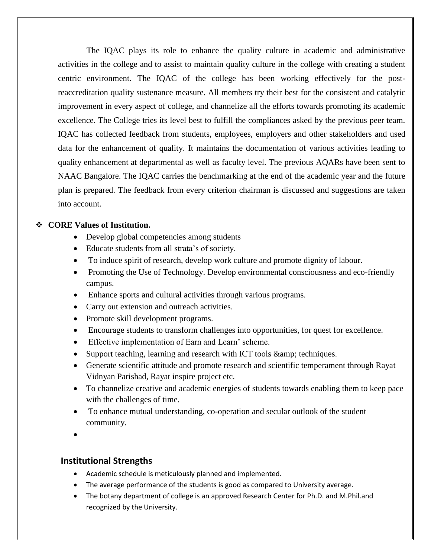The IQAC plays its role to enhance the quality culture in academic and administrative activities in the college and to assist to maintain quality culture in the college with creating a student centric environment. The IQAC of the college has been working effectively for the postreaccreditation quality sustenance measure. All members try their best for the consistent and catalytic improvement in every aspect of college, and channelize all the efforts towards promoting its academic excellence. The College tries its level best to fulfill the compliances asked by the previous peer team. IQAC has collected feedback from students, employees, employers and other stakeholders and used data for the enhancement of quality. It maintains the documentation of various activities leading to quality enhancement at departmental as well as faculty level. The previous AQARs have been sent to NAAC Bangalore. The IQAC carries the benchmarking at the end of the academic year and the future plan is prepared. The feedback from every criterion chairman is discussed and suggestions are taken into account.

#### **CORE Values of Institution.**

- Develop global competencies among students
- Educate students from all strata's of society.
- To induce spirit of research, develop work culture and promote dignity of labour.
- Promoting the Use of Technology. Develop environmental consciousness and eco-friendly campus.
- Enhance sports and cultural activities through various programs.
- Carry out extension and outreach activities.
- Promote skill development programs.
- Encourage students to transform challenges into opportunities, for quest for excellence.
- Effective implementation of Earn and Learn' scheme.
- Support teaching, learning and research with ICT tools & amp; techniques.
- Generate scientific attitude and promote research and scientific temperament through Rayat Vidnyan Parishad, Rayat inspire project etc.
- To channelize creative and academic energies of students towards enabling them to keep pace with the challenges of time.
- To enhance mutual understanding, co-operation and secular outlook of the student community.
- $\bullet$

### **Institutional Strengths**

- Academic schedule is meticulously planned and implemented.
- The average performance of the students is good as compared to University average.
- The botany department of college is an approved Research Center for Ph.D. and M.Phil.and recognized by the University.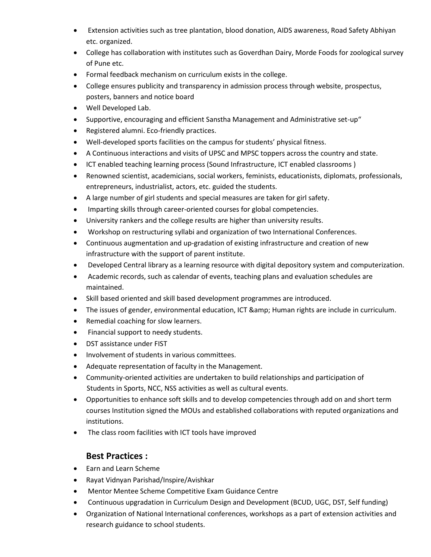- Extension activities such as tree plantation, blood donation, AIDS awareness, Road Safety Abhiyan etc. organized.
- College has collaboration with institutes such as Goverdhan Dairy, Morde Foods for zoological survey of Pune etc.
- Formal feedback mechanism on curriculum exists in the college.
- College ensures publicity and transparency in admission process through website, prospectus, posters, banners and notice board
- Well Developed Lab.
- Supportive, encouraging and efficient Sanstha Management and Administrative set-up"
- Registered alumni. Eco-friendly practices.
- Well-developed sports facilities on the campus for students' physical fitness.
- A Continuous interactions and visits of UPSC and MPSC toppers across the country and state.
- ICT enabled teaching learning process (Sound Infrastructure, ICT enabled classrooms)
- Renowned scientist, academicians, social workers, feminists, educationists, diplomats, professionals, entrepreneurs, industrialist, actors, etc. guided the students.
- A large number of girl students and special measures are taken for girl safety.
- Imparting skills through career-oriented courses for global competencies.
- University rankers and the college results are higher than university results.
- Workshop on restructuring syllabi and organization of two International Conferences.
- Continuous augmentation and up-gradation of existing infrastructure and creation of new infrastructure with the support of parent institute.
- Developed Central library as a learning resource with digital depository system and computerization.
- Academic records, such as calendar of events, teaching plans and evaluation schedules are maintained.
- Skill based oriented and skill based development programmes are introduced.
- The issues of gender, environmental education, ICT & amp; Human rights are include in curriculum.
- Remedial coaching for slow learners.
- Financial support to needy students.
- DST assistance under FIST
- Involvement of students in various committees.
- Adequate representation of faculty in the Management.
- Community-oriented activities are undertaken to build relationships and participation of Students in Sports, NCC, NSS activities as well as cultural events.
- Opportunities to enhance soft skills and to develop competencies through add on and short term courses Institution signed the MOUs and established collaborations with reputed organizations and institutions.
- The class room facilities with ICT tools have improved

### **Best Practices :**

- Earn and Learn Scheme
- Rayat Vidnyan Parishad/Inspire/Avishkar
- Mentor Mentee Scheme Competitive Exam Guidance Centre
- Continuous upgradation in Curriculum Design and Development (BCUD, UGC, DST, Self funding)
- Organization of National International conferences, workshops as a part of extension activities and research guidance to school students.